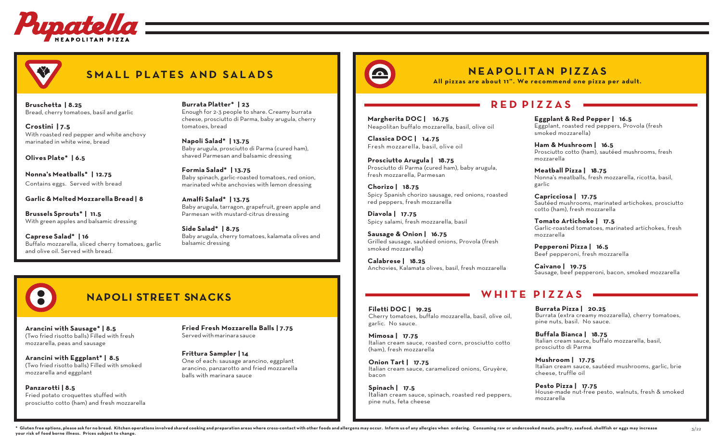

# **SMALL PLATES AND SALADS**

**Bruschetta | 8.25**  Bread, cherry tomatoes, basil and garlic

**Crostini | 7.5** With roasted red pepper and white anchovy marinated in white wine, bread

**Olives Plate\* | 6.5**

**Nonna's Meatballs\* | 12.75** Contains eggs. Served with bread

**Garlic & Melted Mozzarella Bread | 8**

**Brussels Sprouts\* | 11.5** With green apples and balsamic dressing

**Caprese Salad\* | 16** Buffalo mozzarella, sliced cherry tomatoes, garlic and olive oil. Served with bread.

**Burrata Platter\* | 23** Enough for 2-3 people to share. Creamy burrata cheese, prosciutto di Parma, baby arugula, cherry tomatoes, bread

**Napoli Salad\* | 13.75** Baby arugula, prosciutto di Parma (cured ham), shaved Parmesan and balsamic dressing

**Formia Salad\* | 13.75** Baby spinach, garlic-roasted tomatoes, red onion, marinated white anchovies with lemon dressing

**Amalfi Salad\* | 13.75** Baby arugula, tarragon, grapefruit, green apple and Parmesan with mustard-citrus dressing

**Side Salad\* | 8.75** Baby arugula, cherry tomatoes, kalamata olives and balsamic dressing



**Margherita DOC | 16.75**

**Prosciutto Arugula | 18.75** 

fresh mozzarella, Parmesan

red peppers, fresh mozzarella

**Sausage & Onion | 16.75** 

Spicy salami, fresh mozzarella, basil

**Chorizo | 18.75** 

**Diavola | 17.75** 

smoked mozzarella) **Calabrese | 18.25** 

**Classica DOC | 14.75**  Fresh mozzarella, basil, olive oil

Neapolitan buffalo mozzarella, basil, olive oil

Prosciutto di Parma (cured ham), baby arugula,

Spicy Spanish chorizo sausage, red onions, roasted

Grilled sausage, sautéed onions, Provola (fresh

Anchovies, Kalamata olives, basil, fresh mozzarella

**NEAPOLITAN PIZZAS**

**All pizzas are about 11". We recommend one pizza per adult.**

### **RED P IZZAS**

**Eggplant & Red Pepper | 16.5**  Eggplant, roasted red peppers, Provola (fresh smoked mozzarella)

**Ham & Mushroom | 16.5**  Prosciutto cotto (ham), sautéed mushrooms, fresh mozzarella

**Meatball Pizza | 18.75** Nonna's meatballs, fresh mozzarella, ricotta, basil, garlic

**Capricciosa | 17.75** Sautéed mushrooms, marinated artichokes, prosciutto cotto (ham), fresh mozzarella

**Tomato Artichoke | 17.5** Garlic-roasted tomatoes, marinated artichokes, fresh mozzarella

**Pepperoni Pizza | 16.5** Beef pepperoni, fresh mozzarella

**Caivano | 19.75**  Sausage, beef pepperoni, bacon, smoked mozzarella

### **WHITE PIZZAS**

**Filetti DOC | 19.25** Cherry tomatoes, buffalo mozzarella, basil, olive oil, garlic. No sauce.

**Mimosa | 17.75** Italian cream sauce, roasted corn, prosciutto cotto (ham), fresh mozzarella

**Onion Tart | 17.75** Italian cream sauce, caramelized onions, Gruyère, bacon

**Spinach | 17.5** Italian cream sauce, spinach, roasted red peppers, pine nuts, feta cheese

**Burrata Pizza | 20.25** Burrata (extra creamy mozzarella), cherry tomatoes, pine nuts, basil. No sauce.

**Buffala Bianca | 18.75** Italian cream sauce, buffalo mozzarella, basil, prosciutto di Parma

**Mushroom | 17.75**  Italian cream sauce, sautéed mushrooms, garlic, brie cheese, truffle oil

**Pesto Pizza | 17.75** House-made nut-free pesto, walnuts, fresh & smoked mozzarella

3/22

# **NAPOLI STREET SNACKS**

**Arancini with Sausage\* | 8.5**  (Two fried risotto balls) Filled with fresh mozzarella, peas and sausage

**Arancini with Eggplant\* | 8.5** (Two fried risotto balls) Filled with smoked mozzarella and eggplant

**Panzarotti | 8.5** Fried potato croquettes stuffed with prosciutto cotto (ham) and fresh mozzarella **Fried Fresh Mozzarella Balls | 7.75**  Servedwithmarinara sauce

**Frittura Sampler | 14** One of each: sausage arancino, eggplant arancino, panzarotto and fried mozzarella balls with marinara sauce